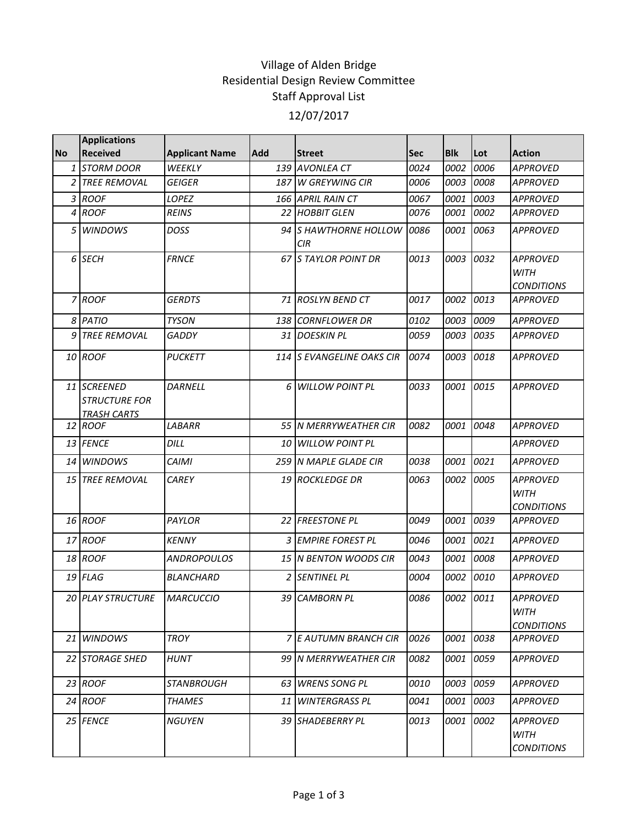## Village of Alden Bridge Residential Design Review Committee Staff Approval List 12/07/2017

|           | <b>Applications</b>                                       |                       |            |                                  |            |            |      |                                                     |
|-----------|-----------------------------------------------------------|-----------------------|------------|----------------------------------|------------|------------|------|-----------------------------------------------------|
| <b>No</b> | <b>Received</b>                                           | <b>Applicant Name</b> | <b>Add</b> | <b>Street</b>                    | <b>Sec</b> | <b>Blk</b> | Lot  | <b>Action</b>                                       |
| 1         | <b>STORM DOOR</b>                                         | WEEKLY                | 139        | <b>AVONLEA CT</b>                | 0024       | 0002       | 0006 | <b>APPROVED</b>                                     |
|           | 2 TREE REMOVAL                                            | <b>GEIGER</b>         |            | 187 W GREYWING CIR               | 0006       | 0003       | 0008 | <b>APPROVED</b>                                     |
|           | 3 ROOF                                                    | <b>LOPEZ</b>          |            | 166 APRIL RAIN CT                | 0067       | 0001       | 0003 | <b>APPROVED</b>                                     |
|           | 4 ROOF                                                    | <b>REINS</b>          |            | 22 HOBBIT GLEN                   | 0076       | 0001       | 0002 | <b>APPROVED</b>                                     |
| 5         | <b>WINDOWS</b>                                            | <b>DOSS</b>           | 94         | <b>S HAWTHORNE HOLLOW</b><br>CIR | 0086       | 0001       | 0063 | <b>APPROVED</b>                                     |
|           | 6 SECH                                                    | <b>FRNCE</b>          |            | <b>67 IS TAYLOR POINT DR</b>     | 0013       | 0003       | 0032 | <b>APPROVED</b><br><b>WITH</b><br><b>CONDITIONS</b> |
|           | 7 ROOF                                                    | <b>GERDTS</b>         |            | 71 ROSLYN BEND CT                | 0017       | 0002       | 0013 | <b>APPROVED</b>                                     |
|           | 8 PATIO                                                   | <b>TYSON</b>          |            | 138 CORNFLOWER DR                | 0102       | 0003       | 0009 | <b>APPROVED</b>                                     |
|           | 9 TREE REMOVAL                                            | <b>GADDY</b>          |            | 31 DOESKIN PL                    | 0059       | 0003       | 0035 | <b>APPROVED</b>                                     |
|           | 10 ROOF                                                   | <b>PUCKETT</b>        |            | 114 S EVANGELINE OAKS CIR        | 0074       | 0003       | 0018 | <b>APPROVED</b>                                     |
|           | 11 SCREENED<br><b>STRUCTURE FOR</b><br><b>TRASH CARTS</b> | <b>DARNELL</b>        | 6          | <b>WILLOW POINT PL</b>           | 0033       | 0001       | 0015 | <b>APPROVED</b>                                     |
|           | 12 ROOF                                                   | LABARR                |            | 55 N MERRYWEATHER CIR            | 0082       | 0001       | 0048 | <b>APPROVED</b>                                     |
|           | 13 FENCE                                                  | DILL                  |            | 10 WILLOW POINT PL               |            |            |      | <b>APPROVED</b>                                     |
|           | 14 WINDOWS                                                | <b>CAIMI</b>          |            | 259 N MAPLE GLADE CIR            | 0038       | 0001       | 0021 | <b>APPROVED</b>                                     |
|           | 15 TREE REMOVAL                                           | <b>CAREY</b>          |            | 19 ROCKLEDGE DR                  | 0063       | 0002       | 0005 | <b>APPROVED</b><br><b>WITH</b><br><b>CONDITIONS</b> |
|           | 16 ROOF                                                   | PAYLOR                |            | 22 FREESTONE PL                  | 0049       | 0001       | 0039 | <b>APPROVED</b>                                     |
|           | 17 ROOF                                                   | <b>KENNY</b>          |            | 3 EMPIRE FOREST PL               | 0046       | 0001       | 0021 | <b>APPROVED</b>                                     |
|           | 18 ROOF                                                   | <b>ANDROPOULOS</b>    |            | <b>15 IN BENTON WOODS CIR</b>    | 0043       | 0001       | 0008 | <b>APPROVED</b>                                     |
|           | 19 FLAG                                                   | <b>BLANCHARD</b>      |            | 2 SENTINEL PL                    | 0004       | 0002       | 0010 | APPROVED                                            |
|           | 20 PLAY STRUCTURE                                         | <b>MARCUCCIO</b>      |            | 39 CAMBORN PL                    | 0086       | 0002 0011  |      | <b>APPROVED</b><br><b>WITH</b><br><b>CONDITIONS</b> |
|           | 21 WINDOWS                                                | <b>TROY</b>           |            | 7 E AUTUMN BRANCH CIR            | 0026       | 0001       | 0038 | <b>APPROVED</b>                                     |
|           | 22 STORAGE SHED                                           | <b>HUNT</b>           |            | 99 N MERRYWEATHER CIR            | 0082       | 0001       | 0059 | APPROVED                                            |
|           | 23 ROOF                                                   | <b>STANBROUGH</b>     |            | 63 WRENS SONG PL                 | 0010       | 0003       | 0059 | <b>APPROVED</b>                                     |
|           | 24 ROOF                                                   | <b>THAMES</b>         | 11         | <b>WINTERGRASS PL</b>            | 0041       | 0001       | 0003 | <b>APPROVED</b>                                     |
|           | 25 FENCE                                                  | <b>NGUYEN</b>         |            | 39 SHADEBERRY PL                 | 0013       | 0001       | 0002 | APPROVED<br>WITH<br><b>CONDITIONS</b>               |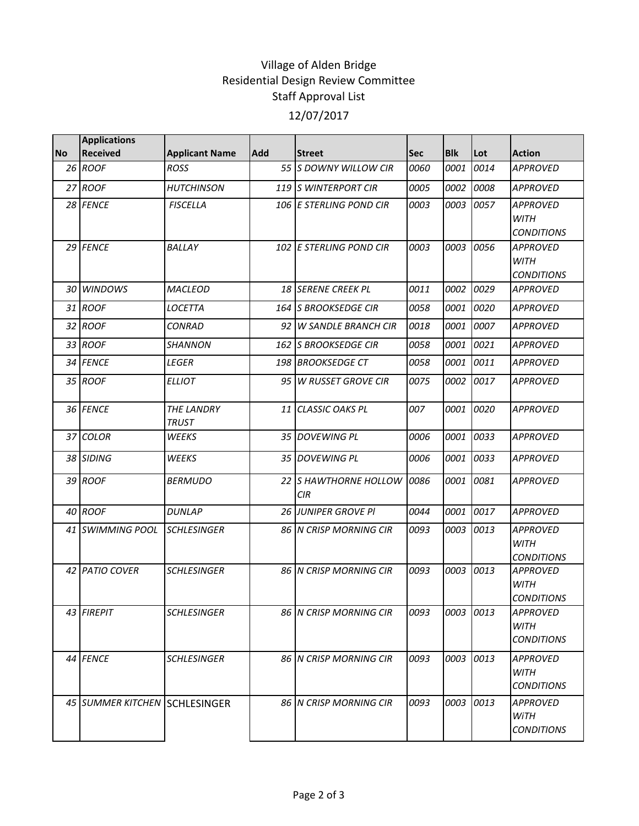## Village of Alden Bridge Residential Design Review Committee Staff Approval List 12/07/2017

| <b>No</b> | <b>Applications</b><br><b>Received</b> | <b>Applicant Name</b>      | Add | <b>Street</b>                       | <b>Sec</b> | <b>Blk</b> | Lot  | <b>Action</b>                                       |
|-----------|----------------------------------------|----------------------------|-----|-------------------------------------|------------|------------|------|-----------------------------------------------------|
|           | 26 ROOF                                | <b>ROSS</b>                |     | 55 S DOWNY WILLOW CIR               | 0060       | 0001       | 0014 | <b>APPROVED</b>                                     |
|           | 27 ROOF                                | <b>HUTCHINSON</b>          |     | 119 IS WINTERPORT CIR               | 0005       | 0002       | 0008 | <b>APPROVED</b>                                     |
|           | 28 FENCE                               | <b>FISCELLA</b>            |     | 106 E STERLING POND CIR             | 0003       | 0003       | 0057 | <b>APPROVED</b><br><b>WITH</b><br><b>CONDITIONS</b> |
|           | 29 FENCE                               | BALLAY                     |     | 102 E STERLING POND CIR             | 0003       | 0003       | 0056 | <b>APPROVED</b><br><b>WITH</b><br><b>CONDITIONS</b> |
|           | 30 WINDOWS                             | <b>MACLEOD</b>             |     | 18 SERENE CREEK PL                  | 0011       | 0002       | 0029 | <b>APPROVED</b>                                     |
|           | 31 ROOF                                | LOCETTA                    |     | 164 S BROOKSEDGE CIR                | 0058       | 0001       | 0020 | <b>APPROVED</b>                                     |
|           | 32 ROOF                                | <b>CONRAD</b>              |     | 92 W SANDLE BRANCH CIR              | 0018       | 0001       | 0007 | <b>APPROVED</b>                                     |
|           | 33 ROOF                                | SHANNON                    |     | 162 S BROOKSEDGE CIR                | 0058       | 0001       | 0021 | <b>APPROVED</b>                                     |
|           | 34 FENCE                               | LEGER                      |     | 198 BROOKSEDGE CT                   | 0058       | 0001       | 0011 | <b>APPROVED</b>                                     |
|           | 35 ROOF                                | <b>ELLIOT</b>              |     | 95 W RUSSET GROVE CIR               | 0075       | 0002       | 0017 | <b>APPROVED</b>                                     |
|           | 36 FENCE                               | THE LANDRY<br><b>TRUST</b> |     | 11 CLASSIC OAKS PL                  | 007        | 0001       | 0020 | <b>APPROVED</b>                                     |
|           | 37 COLOR                               | WEEKS                      |     | 35 DOVEWING PL                      | 0006       | 0001       | 0033 | <b>APPROVED</b>                                     |
|           | 38 SIDING                              | WEEKS                      |     | 35 DOVEWING PL                      | 0006       | 0001       | 0033 | <b>APPROVED</b>                                     |
|           | 39 ROOF                                | <b>BERMUDO</b>             |     | 22 S HAWTHORNE HOLLOW<br><b>CIR</b> | 0086       | 0001       | 0081 | <b>APPROVED</b>                                     |
|           | 40 ROOF                                | <b>DUNLAP</b>              |     | 26 JUNIPER GROVE PI                 | 0044       | 0001       | 0017 | <b>APPROVED</b>                                     |
|           | 41 SWIMMING POOL                       | <b>SCHLESINGER</b>         |     | <b>86 IN CRISP MORNING CIR</b>      | 0093       | 0003       | 0013 | <b>APPROVED</b><br><b>WITH</b><br><b>CONDITIONS</b> |
|           | 42 PATIO COVER                         | <b>SCHLESINGER</b>         |     | <b>86 IN CRISP MORNING CIR</b>      | 0093       | 0003       | 0013 | <b>APPROVED</b><br><b>WITH</b><br><b>CONDITIONS</b> |
|           | 43 FIREPIT                             | <b>SCHLESINGER</b>         |     | 86 N CRISP MORNING CIR              | 0093       | 0003       | 0013 | <b>APPROVED</b><br><b>WITH</b><br><b>CONDITIONS</b> |
|           | 44 FENCE                               | <b>SCHLESINGER</b>         |     | <b>86 IN CRISP MORNING CIR</b>      | 0093       | 0003       | 0013 | <b>APPROVED</b><br>WITH<br><b>CONDITIONS</b>        |
|           | 45 SUMMER KITCHEN SCHLESINGER          |                            |     | <b>86 IN CRISP MORNING CIR</b>      | 0093       | 0003       | 0013 | <b>APPROVED</b><br>WiTH<br><b>CONDITIONS</b>        |